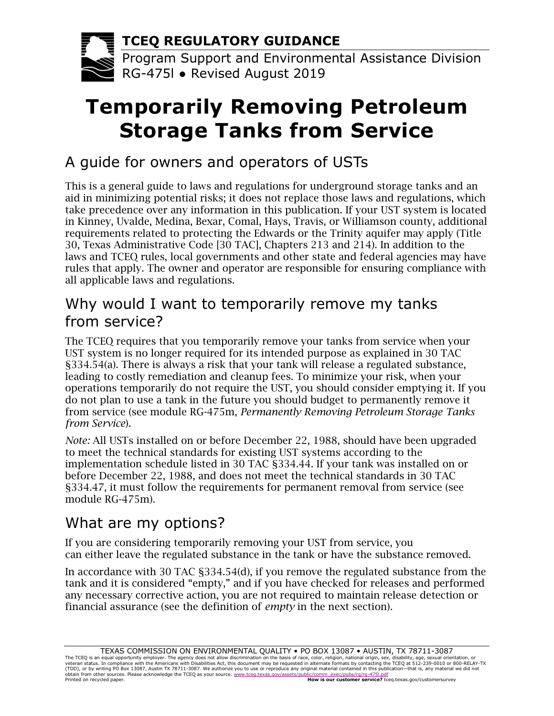

**TCEQ REGULATORY GUIDANCE**

Program Support and Environmental Assistance Division RG-475l ● Revised August 2019

# **Temporarily Removing Petroleum Storage Tanks from Service**

## A guide for owners and operators of USTs

This is a general guide to laws and regulations for underground storage tanks and an aid in minimizing potential risks; it does not replace those laws and regulations, which take precedence over any information in this publication. If your UST system is located in Kinney, Uvalde, Medina, Bexar, Comal, Hays, Travis, or Williamson county, additional requirements related to protecting the Edwards or the Trinity aquifer may apply (Title 30, Texas Administrative Code [30 TAC], Chapters 213 and 214). In addition to the laws and TCEQ rules, local governments and other state and federal agencies may have rules that apply. The owner and operator are responsible for ensuring compliance with all applicable laws and regulations.

#### Why would I want to temporarily remove my tanks from service?

The TCEQ requires that you temporarily remove your tanks from service when your UST system is no longer required for its intended purpose as explained in 30 TAC §334.54(a). There is always a risk that your tank will release a regulated substance, leading to costly remediation and cleanup fees. To minimize your risk, when your operations temporarily do not require the UST, you should consider emptying it. If you do not plan to use a tank in the future you should budget to permanently remove it from service (see module RG-475m, *Permanently Removing Petroleum Storage Tanks from Service*).

*Note:* All USTs installed on or before December 22, 1988, should have been upgraded to meet the technical standards for existing UST systems according to the implementation schedule listed in 30 TAC §334.44. If your tank was installed on or before December 22, 1988, and does not meet the technical standards in 30 TAC §334.47, it must follow the requirements for permanent removal from service (see module RG-475m).

### What are my options?

If you are considering temporarily removing your UST from service, you can either leave the regulated substance in the tank or have the substance removed.

In accordance with 30 TAC §334.54(d), if you remove the regulated substance from the tank and it is considered "empty," and if you have checked for releases and performed any necessary corrective action, you are not required to maintain release detection or financial assurance (see the definition of *empty* in the next section).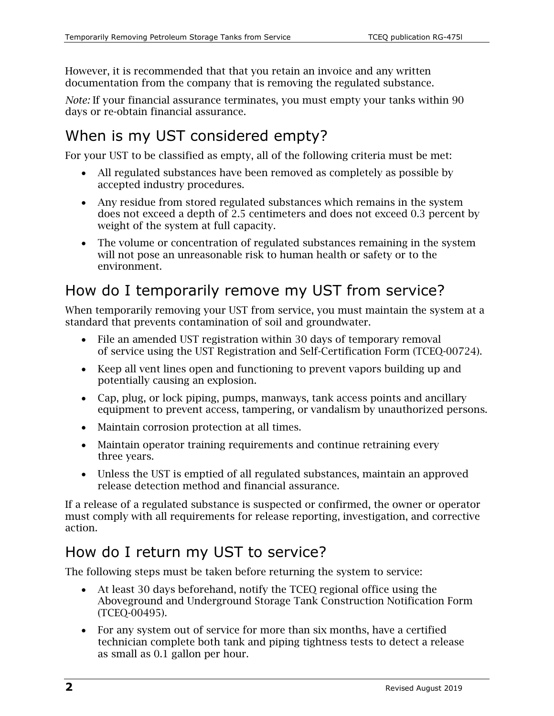However, it is recommended that that you retain an invoice and any written documentation from the company that is removing the regulated substance.

*Note:* If your financial assurance terminates, you must empty your tanks within 90 days or re-obtain financial assurance.

## When is my UST considered empty?

For your UST to be classified as empty, all of the following criteria must be met:

- All regulated substances have been removed as completely as possible by accepted industry procedures.
- Any residue from stored regulated substances which remains in the system does not exceed a depth of 2.5 centimeters and does not exceed 0.3 percent by weight of the system at full capacity.
- The volume or concentration of regulated substances remaining in the system will not pose an unreasonable risk to human health or safety or to the environment.

## How do I temporarily remove my UST from service?

When temporarily removing your UST from service, you must maintain the system at a standard that prevents contamination of soil and groundwater.

- File an amended UST registration within 30 days of temporary removal of service using the UST Registration and Self-Certification Form (TCEQ-00724).
- Keep all vent lines open and functioning to prevent vapors building up and potentially causing an explosion.
- Cap, plug, or lock piping, pumps, manways, tank access points and ancillary equipment to prevent access, tampering, or vandalism by unauthorized persons.
- Maintain corrosion protection at all times.
- Maintain operator training requirements and continue retraining every three years.
- Unless the UST is emptied of all regulated substances, maintain an approved release detection method and financial assurance.

If a release of a regulated substance is suspected or confirmed, the owner or operator must comply with all requirements for release reporting, investigation, and corrective action.

## How do I return my UST to service?

The following steps must be taken before returning the system to service:

- At least 30 days beforehand, notify the TCEQ regional office using the Aboveground and Underground Storage Tank Construction Notification Form (TCEQ-00495).
- For any system out of service for more than six months, have a certified technician complete both tank and piping tightness tests to detect a release as small as 0.1 gallon per hour.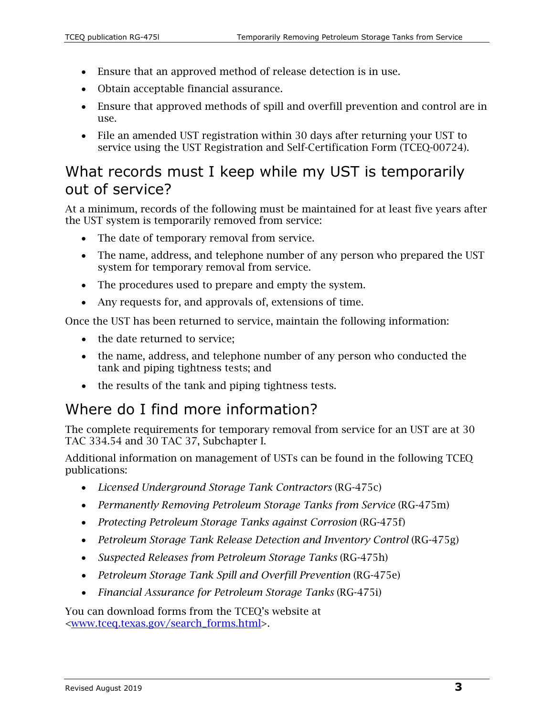- Ensure that an approved method of release detection is in use.
- Obtain acceptable financial assurance.
- Ensure that approved methods of spill and overfill prevention and control are in use.
- File an amended UST registration within 30 days after returning your UST to service using the UST Registration and Self-Certification Form (TCEQ-00724).

### What records must I keep while my UST is temporarily out of service?

At a minimum, records of the following must be maintained for at least five years after the UST system is temporarily removed from service:

- The date of temporary removal from service.
- The name, address, and telephone number of any person who prepared the UST system for temporary removal from service.
- The procedures used to prepare and empty the system.
- Any requests for, and approvals of, extensions of time.

Once the UST has been returned to service, maintain the following information:

- the date returned to service:
- the name, address, and telephone number of any person who conducted the tank and piping tightness tests; and
- the results of the tank and piping tightness tests.

### Where do I find more information?

The complete requirements for temporary removal from service for an UST are at 30 TAC 334.54 and 30 TAC 37, Subchapter I.

Additional information on management of USTs can be found in the following TCEQ publications:

- *Licensed Underground Storage Tank Contractors* (RG-475c)
- *Permanently Removing Petroleum Storage Tanks from Service* (RG-475m)
- *Protecting Petroleum Storage Tanks against Corrosion* (RG-475f)
- *Petroleum Storage Tank Release Detection and Inventory Control* (RG-475g)
- *Suspected Releases from Petroleum Storage Tanks* (RG-475h)
- *Petroleum Storage Tank Spill and Overfill Prevention* (RG-475e)
- *Financial Assurance for Petroleum Storage Tanks* (RG-475i)

You can download forms from the TCEQ's website at [<www.tceq.texas.gov/search\\_forms.html>](http://www.tceq.texas.gov/search_forms.html).